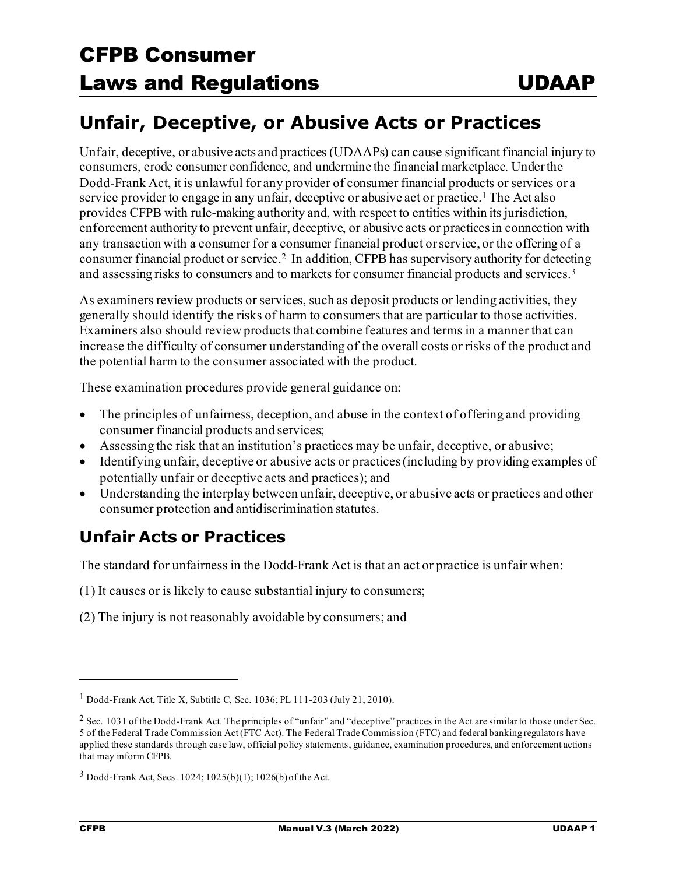### **Unfair, Deceptive, or Abusive Acts or Practices**

Unfair, deceptive, or abusive acts and practices (UDAAPs) can cause significant financial injury to consumers, erode consumer confidence, and undermine the financial marketplace. Underthe Dodd-Frank Act, it is unlawful for any provider of consumer financial products or services or a service provider to engage in any unfair, deceptive or abusive act or practice.<sup>[1](#page-0-0)</sup> The Act also provides CFPB with rule-making authority and, with respect to entities within its jurisdiction, enforcement authority to prevent unfair, deceptive, or abusive acts or practicesin connection with any transaction with a consumer for a consumer financial product or service, or the offering of a consumer financial product or service[.2](#page-0-1) In addition, CFPB has supervisory authority for detecting and assessing risks to consumers and to markets for consumer financial products and services.[3](#page-0-2)

As examiners review products or services, such as deposit products or lending activities, they generally should identify the risks of harm to consumers that are particular to those activities. Examiners also should review products that combine features and terms in a manner that can increase the difficulty of consumer understanding of the overall costs or risks of the product and the potential harm to the consumer associated with the product.

These examination procedures provide general guidance on:

- The principles of unfairness, deception, and abuse in the context of offering and providing consumer financial products and services;
- Assessing the risk that an institution's practices may be unfair, deceptive, or abusive;
- Identifying unfair, deceptive or abusive acts or practices(including by providing examples of potentially unfair or deceptive acts and practices); and
- Understanding the interplay between unfair, deceptive, or abusive acts or practices and other consumer protection and antidiscrimination statutes.

### **Unfair Acts or Practices**

The standard for unfairness in the Dodd-Frank Act is that an act or practice is unfair when:

(1) It causes or is likely to cause substantial injury to consumers;

(2) The injury is not reasonably avoidable by consumers; and

<span id="page-0-0"></span><sup>1</sup> Dodd-Frank Act, Title X, Subtitle C, Sec. 1036; PL 111-203 (July 21, 2010).

<span id="page-0-1"></span><sup>&</sup>lt;sup>2</sup> Sec. 1031 of the Dodd-Frank Act. The principles of "unfair" and "deceptive" practices in the Act are similar to those under Sec. 5 of the Federal Trade Commission Act (FTC Act). The Federal Trade Commission (FTC) and federal banking regulators have applied these standards through case law, official policy statements, guidance, examination procedures, and enforcement actions that may inform CFPB.

<span id="page-0-2"></span><sup>3</sup> Dodd-Frank Act, Secs. 1024; 1025(b)(1); 1026(b) of the Act.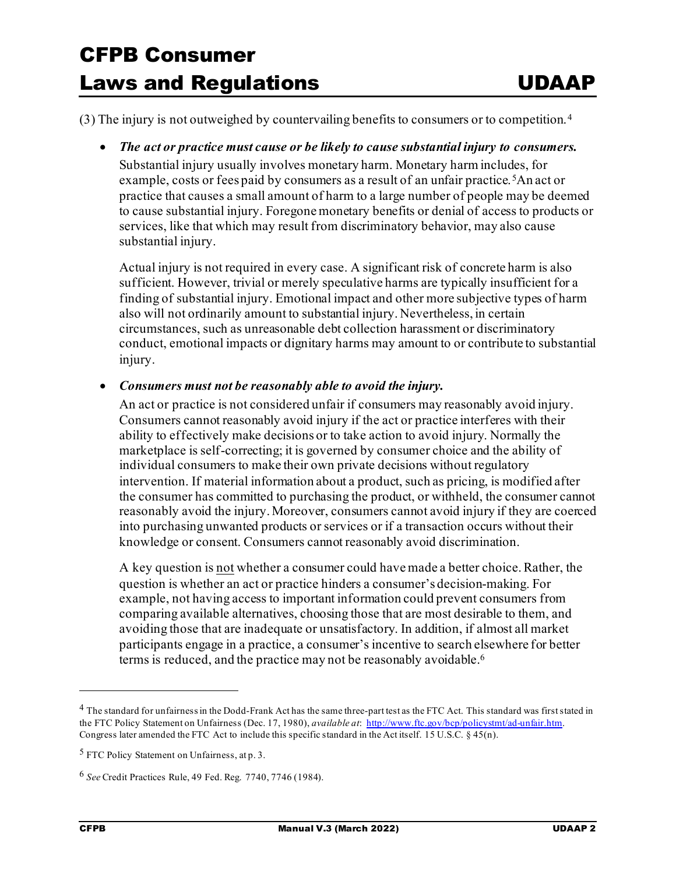(3) The injury is not outweighed by countervailing benefits to consumers or to competition.[4](#page-1-0)

#### • *The act or practice must cause or be likely to cause substantial injury to consumers.*

Substantial injury usually involves monetary harm. Monetary harm includes, for example, costs or fees paid by consumers as a result of an unfair practice.<sup>[5](#page-1-1)</sup>An act or practice that causes a small amount of harm to a large number of people may be deemed to cause substantial injury. Foregone monetary benefits or denial of access to products or services, like that which may result from discriminatory behavior, may also cause substantial injury.

Actual injury is not required in every case. A significant risk of concrete harm is also sufficient. However, trivial or merely speculative harms are typically insufficient for a finding of substantial injury. Emotional impact and other more subjective types of harm also will not ordinarily amount to substantial injury. Nevertheless, in certain circumstances, such as unreasonable debt collection harassment or discriminatory conduct, emotional impacts or dignitary harms may amount to or contribute to substantial injury.

#### • *Consumers must not be reasonably able to avoid the injury.*

An act or practice is not considered unfair if consumers may reasonably avoid injury. Consumers cannot reasonably avoid injury if the act or practice interferes with their ability to effectively make decisions or to take action to avoid injury. Normally the marketplace is self-correcting; it is governed by consumer choice and the ability of individual consumers to make their own private decisions without regulatory intervention. If material information about a product, such as pricing, is modified after the consumer has committed to purchasing the product, or withheld, the consumer cannot reasonably avoid the injury. Moreover, consumers cannot avoid injury if they are coerced into purchasing unwanted products or services or if a transaction occurs without their knowledge or consent. Consumers cannot reasonably avoid discrimination.

A key question is not whether a consumer could have made a better choice. Rather, the question is whether an act or practice hinders a consumer's decision-making. For example, not having access to important information could prevent consumers from comparing available alternatives, choosing those that are most desirable to them, and avoiding those that are inadequate or unsatisfactory. In addition, if almost all market participants engage in a practice, a consumer's incentive to search elsewhere for better terms is reduced, and the practice may not be reasonably avoidable. $^6$  $^6$ 

<span id="page-1-0"></span><sup>&</sup>lt;sup>4</sup> The standard for unfairness in the Dodd-Frank Act has the same three-part test as the FTC Act. This standard was first stated in the FTC Policy Statement on Unfairness (Dec. 17, 1980), *available at*[: http://www.ftc.gov/bcp/policystmt/ad-unfair.htm](http://www.ftc.gov/bcp/policystmt/ad-unfair.htm). Congress later amended the FTC Act to include this specific standard in the Act itself. 15 U.S.C. § 45(n).

<span id="page-1-1"></span><sup>5</sup> FTC Policy Statement on Unfairness, at p. 3.

<span id="page-1-2"></span><sup>6</sup> *See* Credit Practices Rule, 49 Fed. Reg. 7740, 7746 (1984).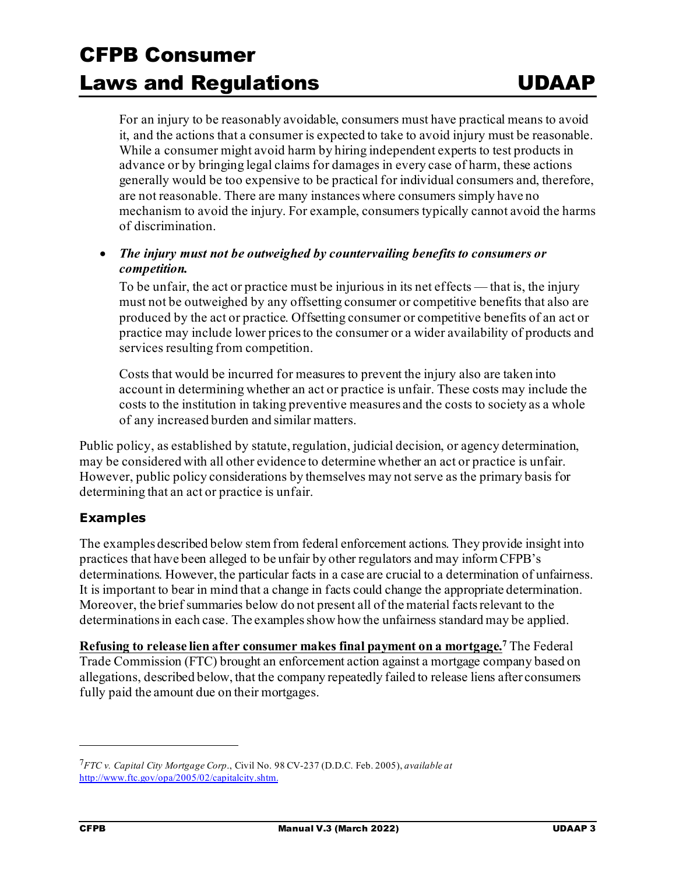For an injury to be reasonably avoidable, consumers must have practical means to avoid it, and the actions that a consumer is expected to take to avoid injury must be reasonable. While a consumer might avoid harm by hiring independent experts to test products in advance or by bringing legal claims for damages in every case of harm, these actions generally would be too expensive to be practical for individual consumers and, therefore, are not reasonable. There are many instances where consumers simply have no mechanism to avoid the injury. For example, consumers typically cannot avoid the harms of discrimination.

• *The injury must not be outweighed by countervailing benefits to consumers or competition.*

To be unfair, the act or practice must be injurious in its net effects — that is, the injury must not be outweighed by any offsetting consumer or competitive benefits that also are produced by the act or practice. Offsetting consumer or competitive benefits of an act or practice may include lower prices to the consumer or a wider availability of products and services resulting from competition.

Costs that would be incurred for measures to prevent the injury also are taken into account in determining whether an act or practice is unfair. These costs may include the costs to the institution in taking preventive measures and the costs to society as a whole of any increased burden and similar matters.

Public policy, as established by statute, regulation, judicial decision, or agency determination, may be considered with all other evidence to determine whether an act or practice is unfair. However, public policy considerations by themselves may not serve as the primary basis for determining that an act or practice is unfair.

#### **Examples**

The examples described below stem from federal enforcement actions. They provide insight into practices that have been alleged to be unfair by other regulators and may inform CFPB's determinations. However, the particular facts in a case are crucial to a determination of unfairness. It is important to bear in mind that a change in facts could change the appropriate determination. Moreover, the brief summaries below do not present all of the material facts relevant to the determinations in each case. The examples show how the unfairness standard may be applied.

**Refusing to release lien after consumer makes final payment on a mortgage.[7](#page-2-0)** The Federal Trade Commission (FTC) brought an enforcement action against a mortgage company based on allegations, described below, that the company repeatedly failed to release liens after consumers fully paid the amount due on their mortgages.

<span id="page-2-0"></span><sup>7</sup>*FTC v. Capital City Mortgage Corp*., Civil No. 98 CV-237 (D.D.C. Feb. 2005), *available at* <http://www.ftc.gov/opa/2005/02/capitalcity.shtm>.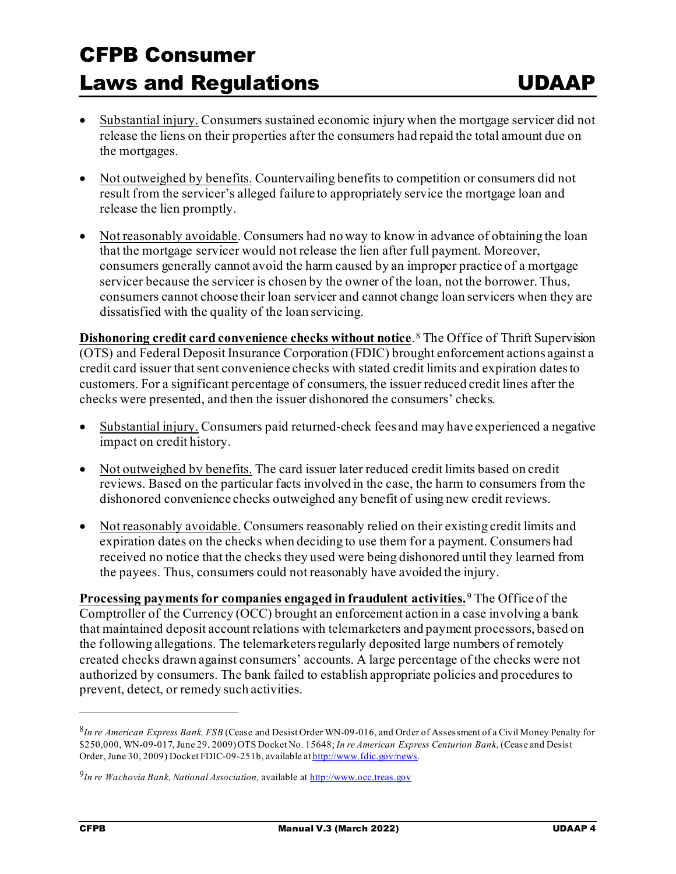- Substantial injury. Consumers sustained economic injury when the mortgage servicer did not release the liens on their properties after the consumers had repaid the total amount due on the mortgages.
- Not outweighed by benefits. Countervailing benefits to competition or consumers did not result from the servicer's alleged failure to appropriately service the mortgage loan and release the lien promptly.
- Not reasonably avoidable. Consumers had no way to know in advance of obtaining the loan that the mortgage servicer would not release the lien after full payment. Moreover, consumers generally cannot avoid the harm caused by an improper practice of a mortgage servicer because the servicer is chosen by the owner of the loan, not the borrower. Thus, consumers cannot choose their loan servicer and cannot change loan servicers when they are dissatisfied with the quality of the loan servicing.

**Dishonoring credit card convenience checks without notice**.<sup>[8](#page-3-0)</sup> The Office of Thrift Supervision (OTS) and Federal Deposit Insurance Corporation (FDIC) brought enforcement actions against a credit card issuer that sent convenience checks with stated credit limits and expiration dates to customers. For a significant percentage of consumers, the issuer reduced credit lines after the checks were presented, and then the issuer dishonored the consumers' checks.

- Substantial injury. Consumers paid returned-check fees and may have experienced a negative impact on credit history.
- Not outweighed by benefits. The card issuer later reduced credit limits based on credit reviews. Based on the particular facts involved in the case, the harm to consumers from the dishonored convenience checks outweighed any benefit of using new credit reviews.
- Not reasonably avoidable. Consumers reasonably relied on their existing credit limits and expiration dates on the checks when deciding to use them for a payment. Consumers had received no notice that the checks they used were being dishonored until they learned from the payees. Thus, consumers could not reasonably have avoided the injury.

**Processing payments for companies engaged in fraudulent activities.**[9](#page-3-1) The Office of the Comptroller of the Currency (OCC) brought an enforcement action in a case involving a bank that maintained deposit account relations with telemarketers and payment processors, based on the following allegations. The telemarketers regularly deposited large numbers of remotely created checks drawn against consumers' accounts. A large percentage of the checks were not authorized by consumers. The bank failed to establish appropriate policies and procedures to prevent, detect, or remedy such activities.

<span id="page-3-0"></span><sup>8</sup>*In re American Express Bank, FSB* (Cease and Desist Order WN-09-016, and Order of Assessment of a Civil Money Penalty for \$250,000, WN-09-017, June 29, 2009) OTS Docket No. 15648; *In re American Express Centurion Bank*, (Cease and Desist Order, June 30, 2009) Docket FDIC-09-251b, available a[t http://www.fdic.gov/news.](http://www.fdic.gov/news/news/press/2009/pr09108.html)

<span id="page-3-1"></span><sup>&</sup>lt;sup>9</sup>In re Wachovia Bank, National Association, available a[t http://www.occ.treas.gov](http://www.occ.treas.gov/)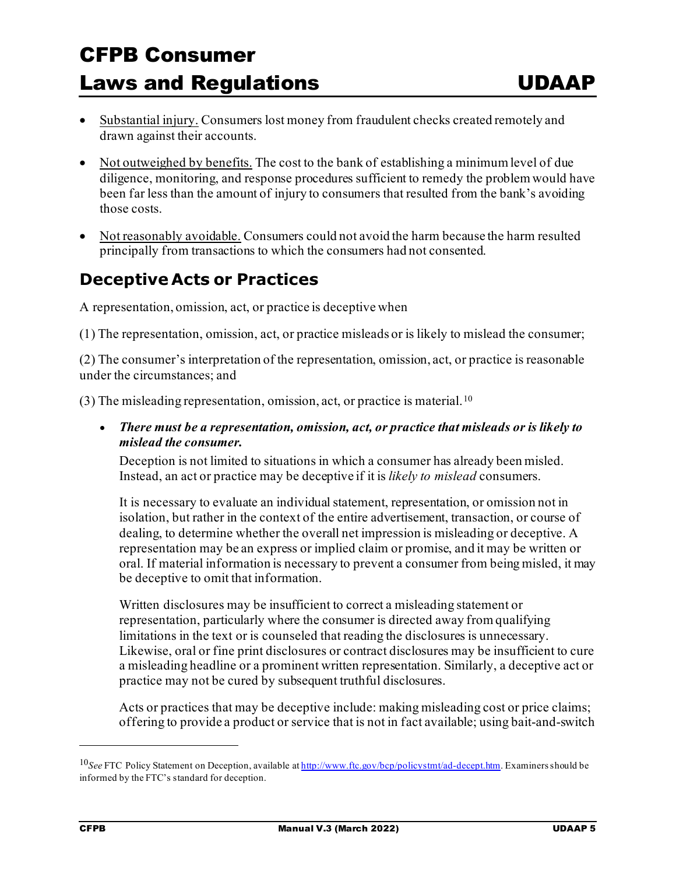- Substantial injury. Consumers lost money from fraudulent checks created remotely and drawn against their accounts.
- Not outweighed by benefits. The cost to the bank of establishing a minimum level of due diligence, monitoring, and response procedures sufficient to remedy the problemwould have been far less than the amount of injury to consumers that resulted from the bank's avoiding those costs.
- Not reasonably avoidable. Consumers could not avoid the harm because the harm resulted principally from transactions to which the consumers had not consented.

### **Deceptive Acts or Practices**

A representation, omission, act, or practice is deceptive when

(1) The representation, omission, act, or practice misleads or is likely to mislead the consumer;

(2) The consumer's interpretation of the representation, omission, act, or practice is reasonable under the circumstances; and

(3) The misleading representation, omission, act, or practice is material.<sup>[10](#page-4-0)</sup>

• *There must be a representation, omission, act, or practice that misleads or is likely to mislead the consumer.*

Deception is not limited to situations in which a consumer has already been misled. Instead, an act or practice may be deceptive if it is *likely to mislead* consumers.

It is necessary to evaluate an individual statement, representation, or omission not in isolation, but rather in the context of the entire advertisement, transaction, or course of dealing, to determine whether the overall net impression is misleading or deceptive. A representation may be an express or implied claim or promise, and it may be written or oral. If material information is necessary to prevent a consumer from being misled, it may be deceptive to omit that information.

Written disclosures may be insufficient to correct a misleading statement or representation, particularly where the consumer is directed away from qualifying limitations in the text or is counseled that reading the disclosures is unnecessary. Likewise, oral or fine print disclosures or contract disclosures may be insufficient to cure a misleading headline or a prominent written representation. Similarly, a deceptive act or practice may not be cured by subsequent truthful disclosures.

Acts or practices that may be deceptive include: making misleading cost or price claims; offering to provide a product or service that is not in fact available; using bait-and-switch

<span id="page-4-0"></span><sup>10</sup>*See* FTC Policy Statement on Deception, available a[t http://www.ftc.gov/bcp/policystmt/ad-decept.htm.](http://www.ftc.gov/bcp/policystmt/ad-decept.htm) Examiners should be informed by the FTC's standard for deception.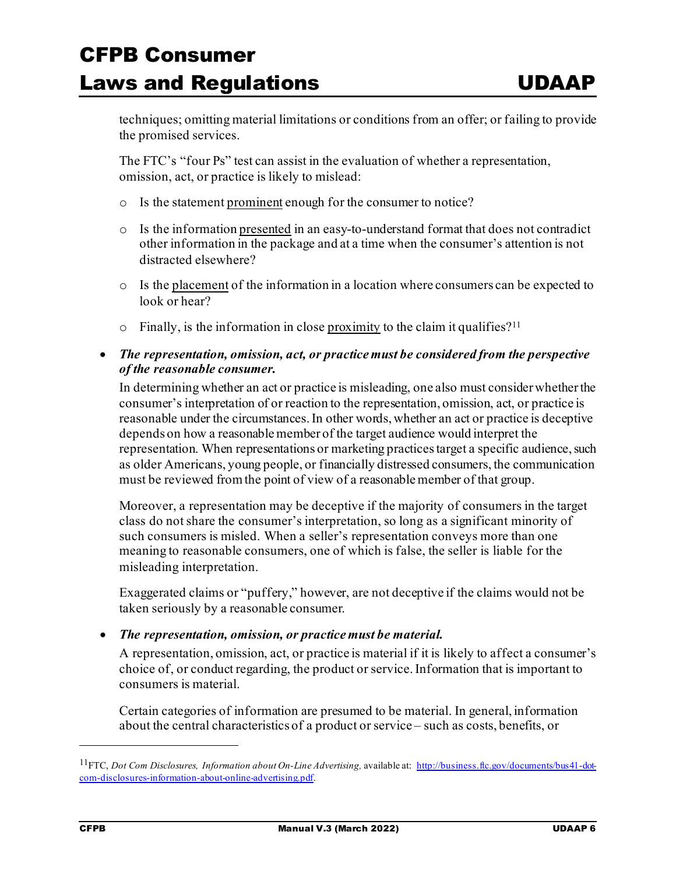techniques; omitting material limitations or conditions from an offer; or failing to provide the promised services.

The FTC's "four Ps" test can assist in the evaluation of whether a representation, omission, act, or practice is likely to mislead:

- o Is the statement prominent enough for the consumer to notice?
- $\circ$  Is the information presented in an easy-to-understand format that does not contradict other information in the package and at a time when the consumer's attention is not distracted elsewhere?
- o Is the placement of the information in a location where consumers can be expected to look or hear?
- $\circ$  Finally, is the information in close proximity to the claim it qualifies?<sup>[11](#page-5-0)</sup>
- *The representation, omission, act, or practice must be considered from the perspective of the reasonable consumer.*

In determining whether an act or practice is misleading, one also must considerwhether the consumer's interpretation of or reaction to the representation, omission, act, or practice is reasonable under the circumstances. In other words, whether an act or practice is deceptive depends on how a reasonable member of the target audience would interpret the representation. When representations or marketing practices target a specific audience, such as older Americans, young people, or financially distressed consumers, the communication must be reviewed from the point of view of a reasonable member of that group.

Moreover, a representation may be deceptive if the majority of consumers in the target class do not share the consumer's interpretation, so long as a significant minority of such consumers is misled. When a seller's representation conveys more than one meaning to reasonable consumers, one of which is false, the seller is liable for the misleading interpretation.

Exaggerated claims or "puffery," however, are not deceptive if the claims would not be taken seriously by a reasonable consumer.

• *The representation, omission, or practice must be material.*

A representation, omission, act, or practice is material if it is likely to affect a consumer's choice of, or conduct regarding, the product or service. Information that is important to consumers is material.

Certain categories of information are presumed to be material. In general, information about the central characteristics of a product or service – such as costs, benefits, or

<span id="page-5-0"></span><sup>11</sup>FTC, *Dot Com Disclosures, Information about On-Line Advertising,* available at: [http://business.ftc.gov/documents/bus41-dot](http://business.ftc.gov/documents/bus41-dot-com-disclosures-information-about-online-advertising.pdf)[com-disclosures-information-about-online-advertising.pdf](http://business.ftc.gov/documents/bus41-dot-com-disclosures-information-about-online-advertising.pdf).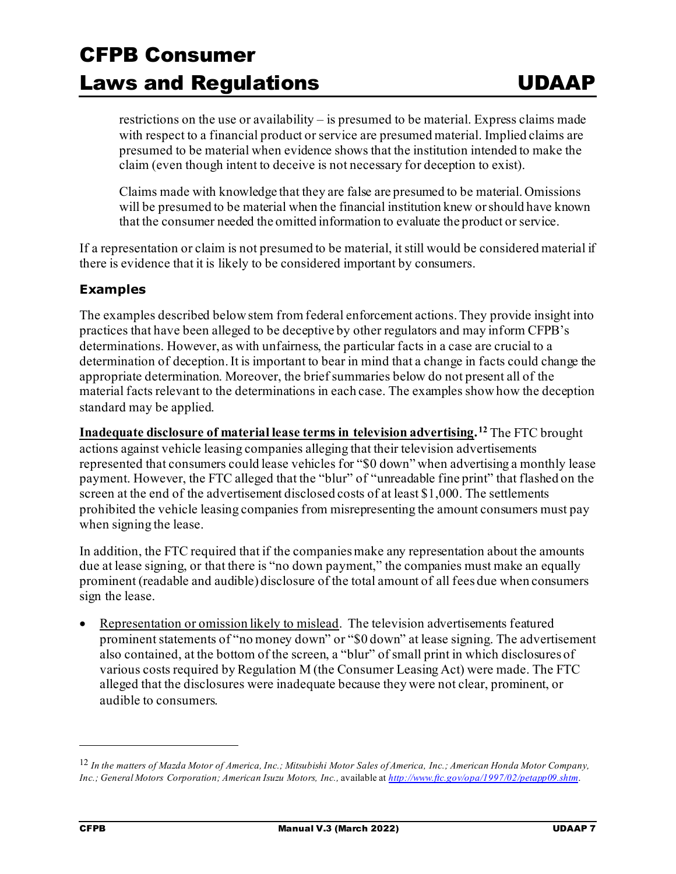restrictions on the use or availability – is presumed to be material. Express claims made with respect to a financial product or service are presumed material. Implied claims are presumed to be material when evidence shows that the institution intended to make the claim (even though intent to deceive is not necessary for deception to exist).

Claims made with knowledge that they are false are presumed to be material. Omissions will be presumed to be material when the financial institution knew or should have known that the consumer needed the omitted information to evaluate the product or service.

If a representation or claim is not presumed to be material, it still would be considered material if there is evidence that it is likely to be considered important by consumers.

#### **Examples**

The examples described below stem from federal enforcement actions. They provide insight into practices that have been alleged to be deceptive by other regulators and may inform CFPB's determinations. However, as with unfairness, the particular facts in a case are crucial to a determination of deception. It is important to bear in mind that a change in facts could change the appropriate determination. Moreover, the brief summaries below do not present all of the material facts relevant to the determinations in each case. The examples show how the deception standard may be applied.

**Inadequate disclosure of material lease terms in television advertising. [12](#page-6-0)** The FTC brought actions against vehicle leasing companies alleging that their television advertisements represented that consumers could lease vehicles for "\$0 down" when advertising a monthly lease payment. However, the FTC alleged that the "blur" of "unreadable fine print" that flashed on the screen at the end of the advertisement disclosed costs of at least \$1,000. The settlements prohibited the vehicle leasing companies from misrepresenting the amount consumers must pay when signing the lease.

In addition, the FTC required that if the companies make any representation about the amounts due at lease signing, or that there is "no down payment," the companies must make an equally prominent (readable and audible) disclosure of the total amount of all fees due when consumers sign the lease.

Representation or omission likely to mislead. The television advertisements featured prominent statements of "no money down" or "\$0 down" at lease signing. The advertisement also contained, at the bottom of the screen, a "blur" of small print in which disclosures of various costs required by Regulation M (the Consumer Leasing Act) were made. The FTC alleged that the disclosures were inadequate because they were not clear, prominent, or audible to consumers.

<span id="page-6-0"></span><sup>12</sup> *In the matters of Mazda Motor of America, Inc.; Mitsubishi Motor Sales of America, Inc.; American Honda Motor Company, Inc.; General Motors Corporation; American Isuzu Motors, Inc.,* available at *<http://www.ftc.gov/opa/1997/02/petapp09.shtm>*.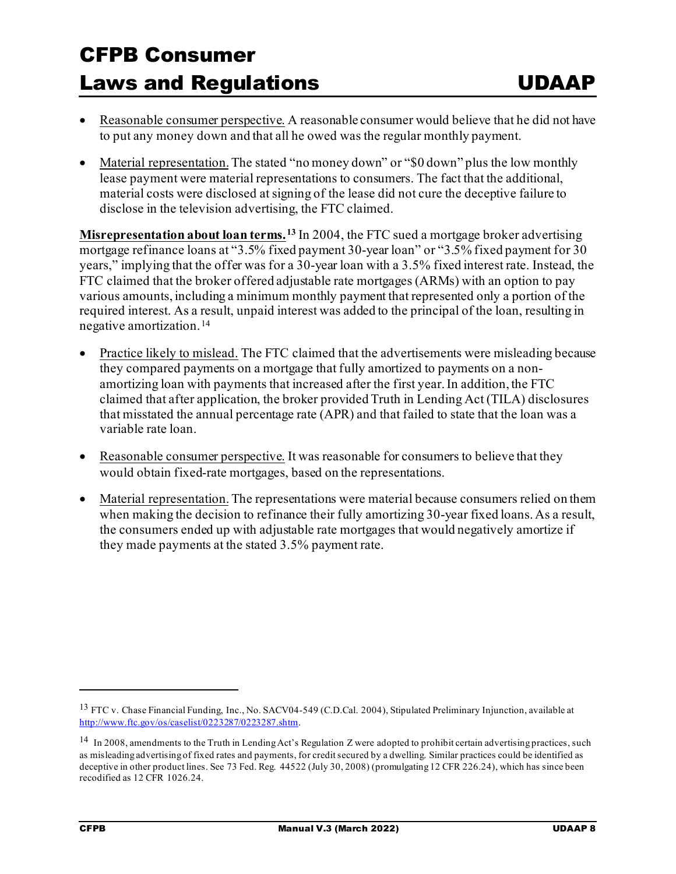- Reasonable consumer perspective. A reasonable consumer would believe that he did not have to put any money down and that all he owed was the regular monthly payment.
- Material representation. The stated "no money down" or "\$0 down" plus the low monthly lease payment were material representations to consumers. The fact that the additional, material costs were disclosed at signing of the lease did not cure the deceptive failure to disclose in the television advertising, the FTC claimed.

**Misrepresentation about loan terms. [13](#page-7-0)** In 2004, the FTC sued a mortgage broker advertising mortgage refinance loans at "3.5% fixed payment 30-year loan" or "3.5% fixed payment for 30 years," implying that the offer was for a 30-year loan with a 3.5% fixed interest rate. Instead, the FTC claimed that the broker offered adjustable rate mortgages (ARMs) with an option to pay various amounts, including a minimum monthly payment that represented only a portion of the required interest. As a result, unpaid interest was added to the principal of the loan, resulting in negative amortization. [14](#page-7-1)

- Practice likely to mislead. The FTC claimed that the advertisements were misleading because they compared payments on a mortgage that fully amortized to payments on a nonamortizing loan with payments that increased after the first year. In addition, the FTC claimed that after application, the broker provided Truth in Lending Act (TILA) disclosures that misstated the annual percentage rate (APR) and that failed to state that the loan was a variable rate loan.
- Reasonable consumer perspective. It was reasonable for consumers to believe that they would obtain fixed-rate mortgages, based on the representations.
- Material representation. The representations were material because consumers relied on them when making the decision to refinance their fully amortizing 30-year fixed loans. As a result, the consumers ended up with adjustable rate mortgages that would negatively amortize if they made payments at the stated 3.5% payment rate.

<span id="page-7-0"></span><sup>&</sup>lt;sup>13</sup> FTC v. Chase Financial Funding, Inc., No. SACV04-549 (C.D.Cal. 2004), Stipulated Preliminary Injunction, available at <http://www.ftc.gov/os/caselist/0223287/0223287.shtm>.

<span id="page-7-1"></span><sup>&</sup>lt;sup>14</sup> In 2008, amendments to the Truth in Lending Act's Regulation Z were adopted to prohibit certain advertising practices, such as misleading advertising of fixed rates and payments, for credit secured by a dwelling. Similar practices could be identified as deceptive in other product lines. See 73 Fed. Reg. 44522 (July 30, 2008) (promulgating 12 CFR 226.24), which has since been recodified as 12 CFR 1026.24.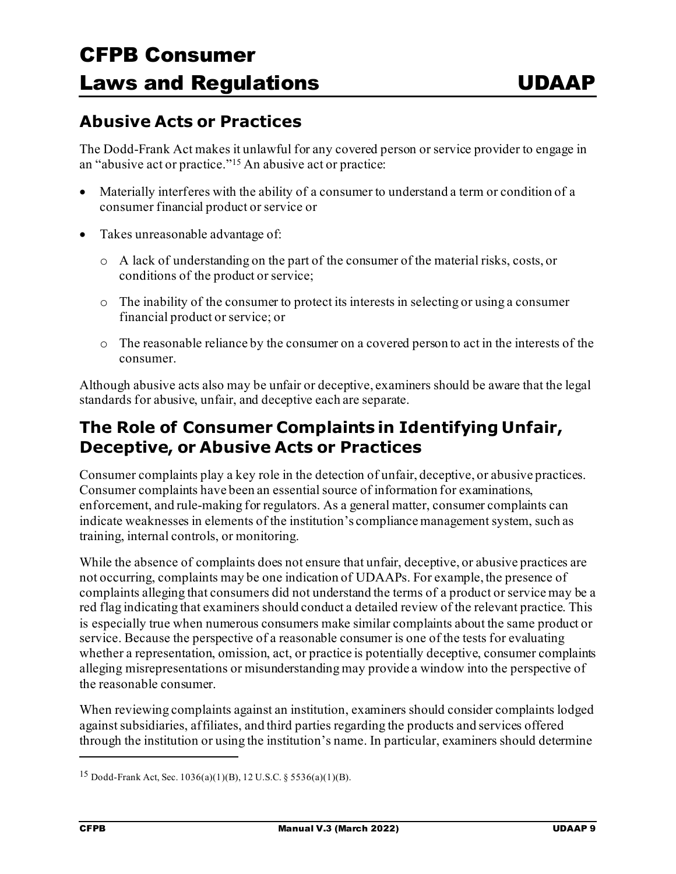### **Abusive Acts or Practices**

The Dodd-Frank Act makes it unlawful for any covered person or service provider to engage in an "abusive act or practice.["15](#page-8-0) An abusive act or practice:

- Materially interferes with the ability of a consumer to understand a term or condition of a consumer financial product or service or
- Takes unreasonable advantage of:
	- o A lack of understanding on the part of the consumer of the material risks, costs, or conditions of the product or service;
	- o The inability of the consumer to protect its interests in selecting or using a consumer financial product or service; or
	- o The reasonable reliance by the consumer on a covered person to act in the interests of the consumer.

Although abusive acts also may be unfair or deceptive, examiners should be aware that the legal standards for abusive, unfair, and deceptive each are separate.

### **The Role of Consumer Complaints in Identifying Unfair, Deceptive, or Abusive Acts or Practices**

Consumer complaints play a key role in the detection of unfair, deceptive, or abusive practices. Consumer complaints have been an essential source of information for examinations, enforcement, and rule-making for regulators. As a general matter, consumer complaints can indicate weaknesses in elements of the institution's compliance management system, such as training, internal controls, or monitoring.

While the absence of complaints does not ensure that unfair, deceptive, or abusive practices are not occurring, complaints may be one indication of UDAAPs. For example, the presence of complaints alleging that consumers did not understand the terms of a product or service may be a red flag indicating that examiners should conduct a detailed review of the relevant practice. This is especially true when numerous consumers make similar complaints about the same product or service. Because the perspective of a reasonable consumer is one of the tests for evaluating whether a representation, omission, act, or practice is potentially deceptive, consumer complaints alleging misrepresentations or misunderstanding may provide a window into the perspective of the reasonable consumer.

When reviewing complaints against an institution, examiners should consider complaints lodged against subsidiaries, affiliates, and third parties regarding the products and services offered through the institution or using the institution's name. In particular, examiners should determine

<span id="page-8-0"></span><sup>15</sup> Dodd-Frank Act, Sec. 1036(a)(1)(B), 12 U.S.C. § 5536(a)(1)(B).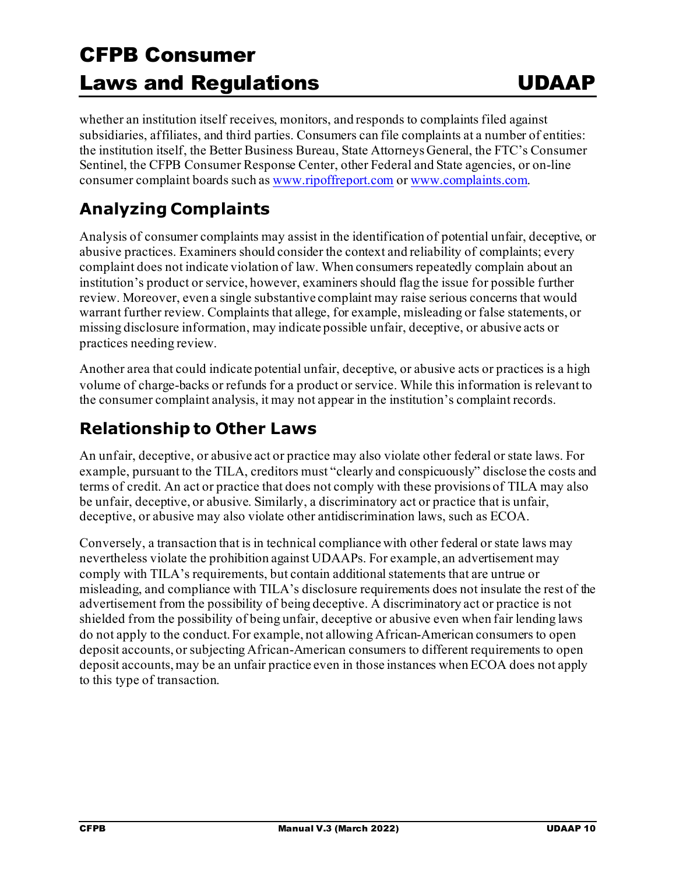whether an institution itself receives, monitors, and responds to complaints filed against subsidiaries, affiliates, and third parties. Consumers can file complaints at a number of entities: the institution itself, the Better Business Bureau, State Attorneys General, the FTC's Consumer Sentinel, the CFPB Consumer Response Center, other Federal and State agencies, or on-line consumer complaint boards such a[s www.ripoffreport.com](http://www.ripoffreport.com/) o[r www.complaints.com.](http://www.complaints.com/)

### **Analyzing Complaints**

Analysis of consumer complaints may assist in the identification of potential unfair, deceptive, or abusive practices. Examiners should consider the context and reliability of complaints; every complaint does not indicate violation of law. When consumers repeatedly complain about an institution's product or service, however, examiners should flag the issue for possible further review. Moreover, even a single substantive complaint may raise serious concerns that would warrant further review. Complaints that allege, for example, misleading or false statements, or missing disclosure information, may indicate possible unfair, deceptive, or abusive acts or practices needing review.

Another area that could indicate potential unfair, deceptive, or abusive acts or practices is a high volume of charge-backs or refunds for a product or service. While this information is relevant to the consumer complaint analysis, it may not appear in the institution's complaint records.

### **Relationship to Other Laws**

An unfair, deceptive, or abusive act or practice may also violate other federal or state laws. For example, pursuant to the TILA, creditors must "clearly and conspicuously" disclose the costs and terms of credit. An act or practice that does not comply with these provisions of TILA may also be unfair, deceptive, or abusive. Similarly, a discriminatory act or practice that is unfair, deceptive, or abusive may also violate other antidiscrimination laws, such as ECOA.

Conversely, a transaction that is in technical compliance with other federal or state laws may nevertheless violate the prohibition against UDAAPs. For example, an advertisement may comply with TILA's requirements, but contain additionalstatements that are untrue or misleading, and compliance with TILA's disclosure requirements does not insulate the rest of the advertisement from the possibility of being deceptive. A discriminatory act or practice is not shielded from the possibility of being unfair, deceptive or abusive even when fair lending laws do not apply to the conduct. For example, not allowing African-American consumers to open deposit accounts, or subjecting African-American consumers to different requirements to open deposit accounts, may be an unfair practice even in those instances when ECOA does not apply to this type of transaction.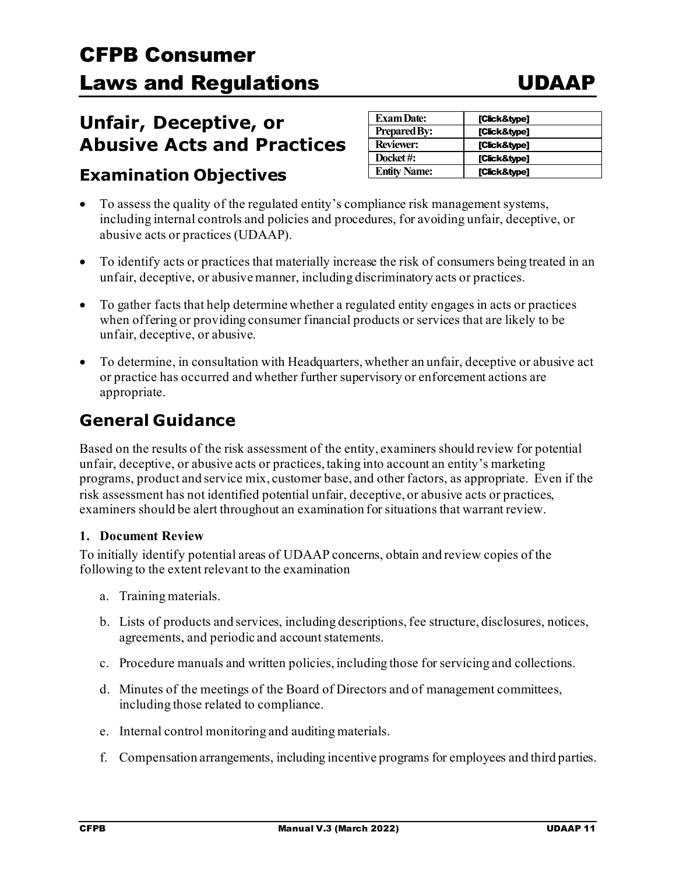### **Unfair, Deceptive, or Abusive Acts and Practices**

### **Examination Objectives**

| <b>Exam Date:</b>   | [Click&type] |
|---------------------|--------------|
| <b>Prepared By:</b> | [Click&type] |
| <b>Reviewer:</b>    | [Click&type] |
| Docket#:            | [Click&type] |
| <b>Entity Name:</b> | [Click&type] |

- To assess the quality of the regulated entity's compliance risk management systems, including internal controls and policies and procedures, for avoiding unfair, deceptive, or abusive acts or practices (UDAAP).
- To identify acts or practices that materially increase the risk of consumers being treated in an unfair, deceptive, or abusive manner, including discriminatory acts or practices.
- To gather facts that help determine whether a regulated entity engages in acts or practices when offering or providing consumer financial products or services that are likely to be unfair, deceptive, or abusive.
- To determine, in consultation with Headquarters, whether an unfair, deceptive or abusive act or practice has occurred and whether further supervisory or enforcement actions are appropriate.

### **General Guidance**

Based on the results of the risk assessment of the entity, examiners should review for potential unfair, deceptive, or abusive acts or practices, taking into account an entity's marketing programs, product and service mix, customer base, and other factors, as appropriate. Even if the risk assessment has not identified potential unfair, deceptive, or abusive acts or practices, examiners should be alert throughout an examination for situations that warrant review.

#### **1. Document Review**

To initially identify potential areas of UDAAP concerns, obtain and review copies of the following to the extent relevant to the examination

- a. Training materials.
- b. Lists of products and services, including descriptions, fee structure, disclosures, notices, agreements, and periodic and account statements.
- c. Procedure manuals and written policies, including those for servicing and collections.
- d. Minutes of the meetings of the Board of Directors and of management committees, including those related to compliance.
- e. Internal control monitoring and auditing materials.
- f. Compensation arrangements, including incentive programs for employees and third parties.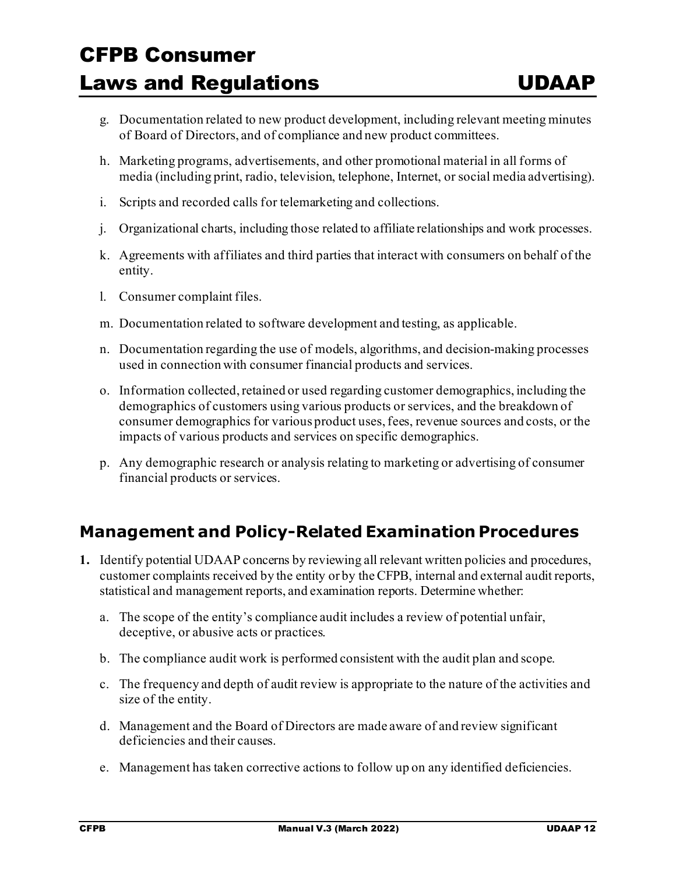- g. Documentation related to new product development, including relevant meeting minutes of Board of Directors, and of compliance and new product committees.
- h. Marketing programs, advertisements, and other promotional material in all forms of media (including print, radio, television, telephone, Internet, or social media advertising).
- i. Scripts and recorded calls for telemarketing and collections.
- j. Organizational charts, including those related to affiliate relationships and work processes.
- k. Agreements with affiliates and third parties that interact with consumers on behalf of the entity.
- l. Consumer complaint files.
- m. Documentation related to software development and testing, as applicable.
- n. Documentation regarding the use of models, algorithms, and decision-making processes used in connection with consumer financial products and services.
- o. Information collected, retained or used regarding customer demographics, including the demographics of customers using various products or services, and the breakdown of consumer demographics for various product uses, fees, revenue sources and costs, or the impacts of various products and services on specific demographics.
- p. Any demographic research or analysis relating to marketing or advertising of consumer financial products or services.

### **Management and Policy-Related Examination Procedures**

- **1.** Identify potential UDAAP concerns by reviewing all relevant written policies and procedures, customer complaints received by the entity or by the CFPB, internal and external audit reports, statistical and management reports, and examination reports. Determine whether:
	- a. The scope of the entity's compliance audit includes a review of potential unfair, deceptive, or abusive acts or practices.
	- b. The compliance audit work is performed consistent with the audit plan and scope.
	- c. The frequency and depth of audit review is appropriate to the nature of the activities and size of the entity.
	- d. Management and the Board of Directors are made aware of and review significant deficiencies and their causes.
	- e. Management has taken corrective actions to follow up on any identified deficiencies.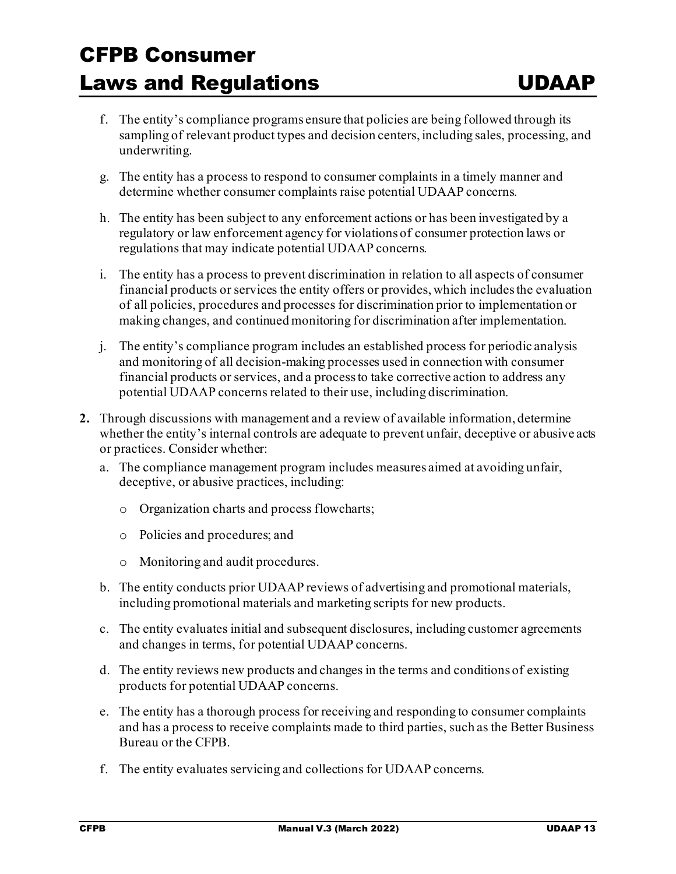- f. The entity's compliance programs ensure that policies are being followed through its sampling of relevant product types and decision centers, including sales, processing, and underwriting.
- g. The entity has a process to respond to consumer complaints in a timely manner and determine whether consumer complaints raise potential UDAAP concerns.
- h. The entity has been subject to any enforcement actions or has been investigated by a regulatory or law enforcement agency for violations of consumer protection laws or regulations that may indicate potential UDAAP concerns.
- i. The entity has a process to prevent discrimination in relation to all aspects of consumer financial products or services the entity offers or provides, which includes the evaluation of all policies, procedures and processes for discrimination prior to implementation or making changes, and continued monitoring for discrimination after implementation.
- j. The entity's compliance program includes an established process for periodic analysis and monitoring of all decision-making processes used in connection with consumer financial products or services, and a process to take corrective action to address any potential UDAAP concerns related to their use, including discrimination.
- **2.** Through discussions with management and a review of available information, determine whether the entity's internal controls are adequate to prevent unfair, deceptive or abusive acts or practices. Consider whether:
	- a. The compliance management program includes measures aimed at avoiding unfair, deceptive, or abusive practices, including:
		- o Organization charts and process flowcharts;
		- o Policies and procedures; and
		- o Monitoring and audit procedures.
	- b. The entity conducts prior UDAAP reviews of advertising and promotional materials, including promotional materials and marketing scripts for new products.
	- c. The entity evaluates initial and subsequent disclosures, including customer agreements and changes in terms, for potential UDAAP concerns.
	- d. The entity reviews new products and changes in the terms and conditions of existing products for potential UDAAP concerns.
	- e. The entity has a thorough process for receiving and responding to consumer complaints and has a process to receive complaints made to third parties, such as the Better Business Bureau or the CFPB.
	- f. The entity evaluates servicing and collections for UDAAP concerns.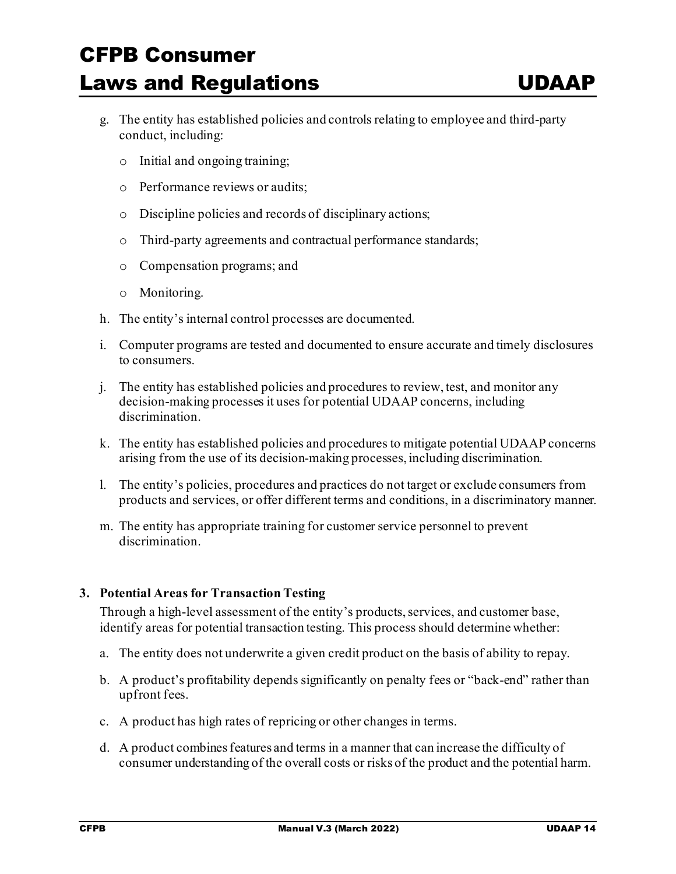- g. The entity has established policies and controls relating to employee and third-party conduct, including:
	- o Initial and ongoing training;
	- o Performance reviews or audits;
	- o Discipline policies and records of disciplinary actions;
	- o Third-party agreements and contractual performance standards;
	- o Compensation programs; and
	- o Monitoring.
- h. The entity's internal control processes are documented.
- i. Computer programs are tested and documented to ensure accurate and timely disclosures to consumers.
- j. The entity has established policies and procedures to review, test, and monitor any decision-making processes it uses for potential UDAAP concerns, including discrimination.
- k. The entity has established policies and procedures to mitigate potential UDAAP concerns arising from the use of its decision-making processes, including discrimination.
- l. The entity's policies, procedures and practices do not target or exclude consumers from products and services, or offer different terms and conditions, in a discriminatory manner.
- m. The entity has appropriate training for customer service personnel to prevent discrimination.

#### **3. Potential Areas for Transaction Testing**

Through a high-level assessment of the entity's products, services, and customer base, identify areas for potential transaction testing. This process should determine whether:

- a. The entity does not underwrite a given credit product on the basis of ability to repay.
- b. A product's profitability depends significantly on penalty fees or "back-end" rather than upfront fees.
- c. A product has high rates of repricing or other changes in terms.
- d. A product combines features and terms in a manner that can increase the difficulty of consumer understanding of the overall costs or risks of the product and the potential harm.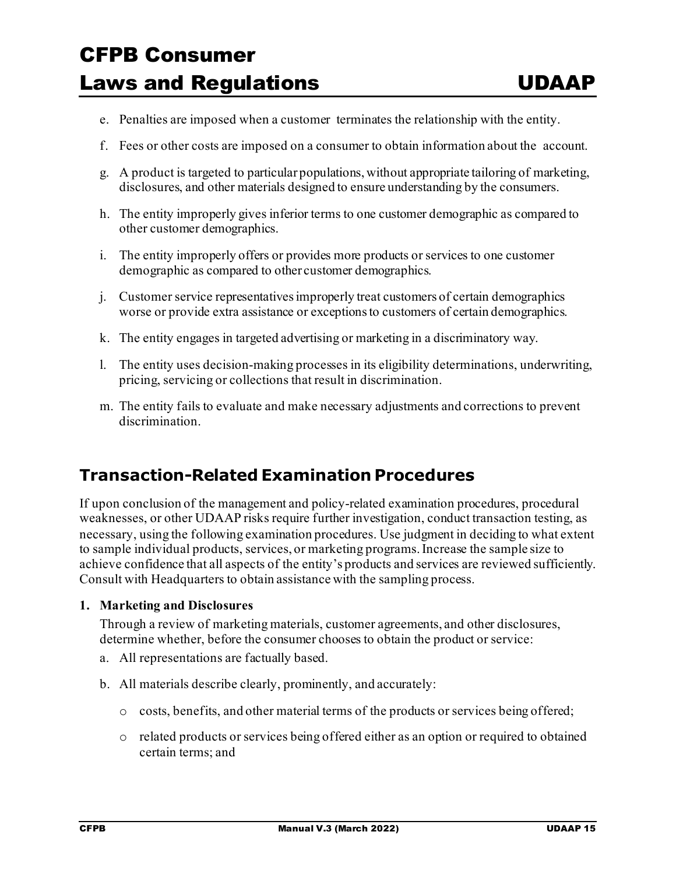- e. Penalties are imposed when a customer terminates the relationship with the entity.
- f. Fees or other costs are imposed on a consumer to obtain information about the account.
- g. A product is targeted to particular populations, without appropriate tailoring of marketing, disclosures, and other materials designed to ensure understanding by the consumers.
- h. The entity improperly gives inferior terms to one customer demographic as compared to other customer demographics.
- i. The entity improperly offers or provides more products or services to one customer demographic as compared to other customer demographics.
- j. Customer service representatives improperly treat customers of certain demographics worse or provide extra assistance or exceptions to customers of certain demographics.
- k. The entity engages in targeted advertising or marketing in a discriminatory way.
- l. The entity uses decision-making processes in its eligibility determinations, underwriting, pricing, servicing or collections that result in discrimination.
- m. The entity fails to evaluate and make necessary adjustments and corrections to prevent discrimination.

### **Transaction-Related Examination Procedures**

If upon conclusion of the management and policy-related examination procedures, procedural weaknesses, or other UDAAP risks require further investigation, conduct transaction testing, as necessary, using the following examination procedures. Use judgment in deciding to what extent to sample individual products, services, or marketing programs. Increase the sample size to achieve confidence that all aspects of the entity's products and services are reviewed sufficiently. Consult with Headquarters to obtain assistance with the sampling process.

#### **1. Marketing and Disclosures**

Through a review of marketing materials, customer agreements, and other disclosures, determine whether, before the consumer chooses to obtain the product or service:

- a. All representations are factually based.
- b. All materials describe clearly, prominently, and accurately:
	- o costs, benefits, and other material terms of the products or services being offered;
	- o related products or services being offered either as an option or required to obtained certain terms; and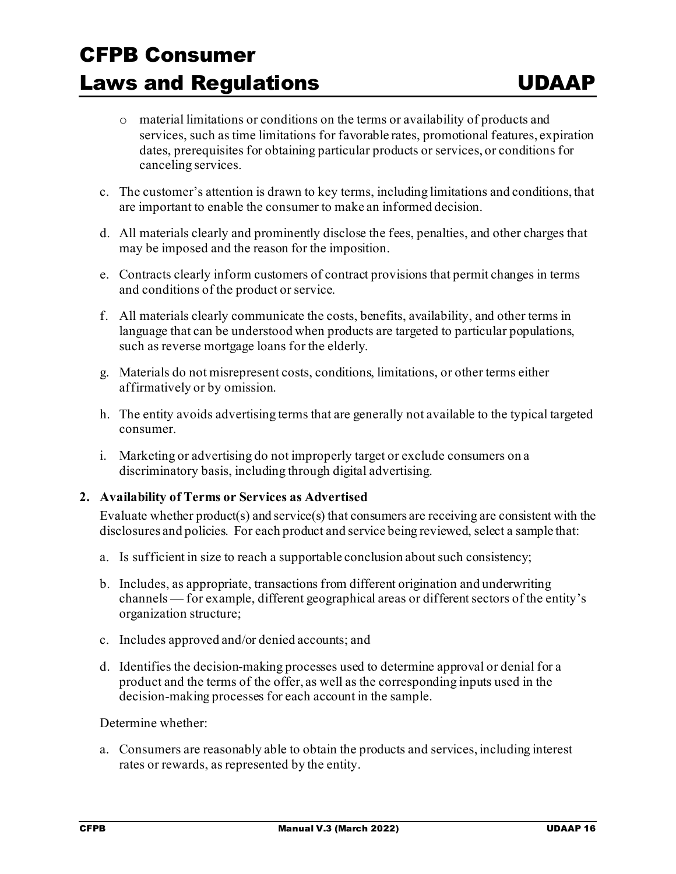- o material limitations or conditions on the terms or availability of products and services, such as time limitations for favorable rates, promotional features, expiration dates, prerequisites for obtaining particular products or services, or conditions for canceling services.
- c. The customer's attention is drawn to key terms, including limitations and conditions, that are important to enable the consumer to make an informed decision.
- d. All materials clearly and prominently disclose the fees, penalties, and other charges that may be imposed and the reason for the imposition.
- e. Contracts clearly inform customers of contract provisions that permit changes in terms and conditions of the product or service.
- f. All materials clearly communicate the costs, benefits, availability, and other terms in language that can be understood when products are targeted to particular populations, such as reverse mortgage loans for the elderly.
- g. Materials do not misrepresent costs, conditions, limitations, or other terms either affirmatively or by omission.
- h. The entity avoids advertising terms that are generally not available to the typical targeted consumer.
- i. Marketing or advertising do not improperly target or exclude consumers on a discriminatory basis, including through digital advertising.

#### **2. Availability of Terms or Services as Advertised**

Evaluate whether product(s) and service(s) that consumers are receiving are consistent with the disclosures and policies. For each product and service being reviewed, select a sample that:

- a. Is sufficient in size to reach a supportable conclusion about such consistency;
- b. Includes, as appropriate, transactions from different origination and underwriting channels — for example, different geographical areas or different sectors of the entity's organization structure;
- c. Includes approved and/or denied accounts; and
- d. Identifies the decision-making processes used to determine approval or denial for a product and the terms of the offer, as well as the corresponding inputs used in the decision-making processes for each account in the sample.

Determine whether:

a. Consumers are reasonably able to obtain the products and services, including interest rates or rewards, as represented by the entity.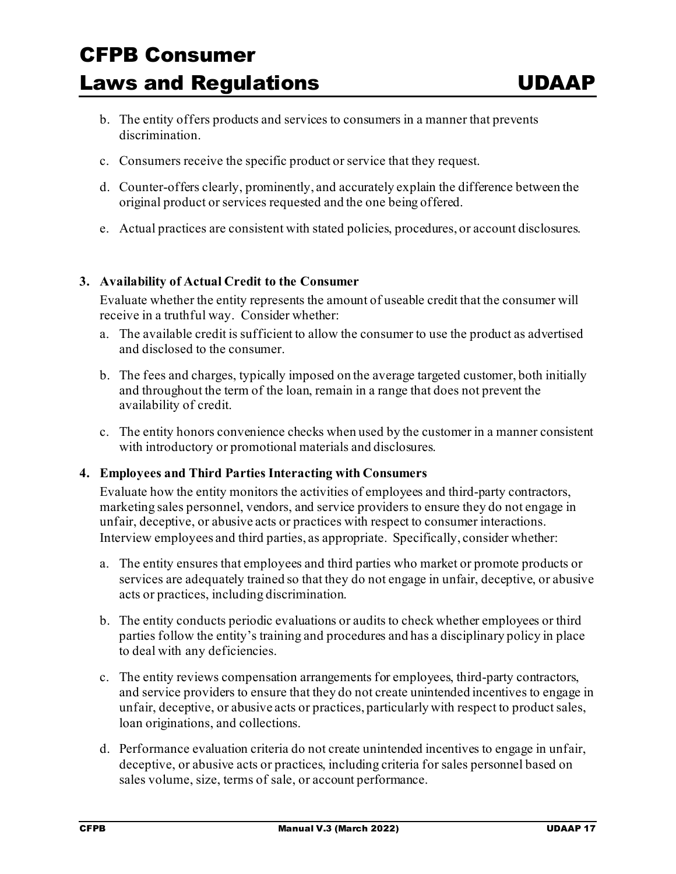- b. The entity offers products and services to consumers in a manner that prevents discrimination.
- c. Consumers receive the specific product or service that they request.
- d. Counter-offers clearly, prominently, and accurately explain the difference between the original product or services requested and the one being offered.
- e. Actual practices are consistent with stated policies, procedures, or account disclosures.

#### **3. Availability of Actual Credit to the Consumer**

Evaluate whether the entity represents the amount of useable credit that the consumer will receive in a truthful way. Consider whether:

- a. The available credit is sufficient to allow the consumer to use the product as advertised and disclosed to the consumer.
- b. The fees and charges, typically imposed on the average targeted customer, both initially and throughout the term of the loan, remain in a range that does not prevent the availability of credit.
- c. The entity honors convenience checks when used by the customer in a manner consistent with introductory or promotional materials and disclosures.

#### **4. Employees and Third Parties Interacting with Consumers**

Evaluate how the entity monitors the activities of employees and third-party contractors, marketing sales personnel, vendors, and service providers to ensure they do not engage in unfair, deceptive, or abusive acts or practices with respect to consumer interactions. Interview employees and third parties, as appropriate. Specifically, consider whether:

- a. The entity ensures that employees and third parties who market or promote products or services are adequately trained so that they do not engage in unfair, deceptive, or abusive acts or practices, including discrimination.
- b. The entity conducts periodic evaluations or audits to check whether employees or third parties follow the entity's training and procedures and has a disciplinary policy in place to deal with any deficiencies.
- c. The entity reviews compensation arrangements for employees, third-party contractors, and service providers to ensure that they do not create unintended incentives to engage in unfair, deceptive, or abusive acts or practices, particularly with respect to product sales, loan originations, and collections.
- d. Performance evaluation criteria do not create unintended incentives to engage in unfair, deceptive, or abusive acts or practices, including criteria for sales personnel based on sales volume, size, terms of sale, or account performance.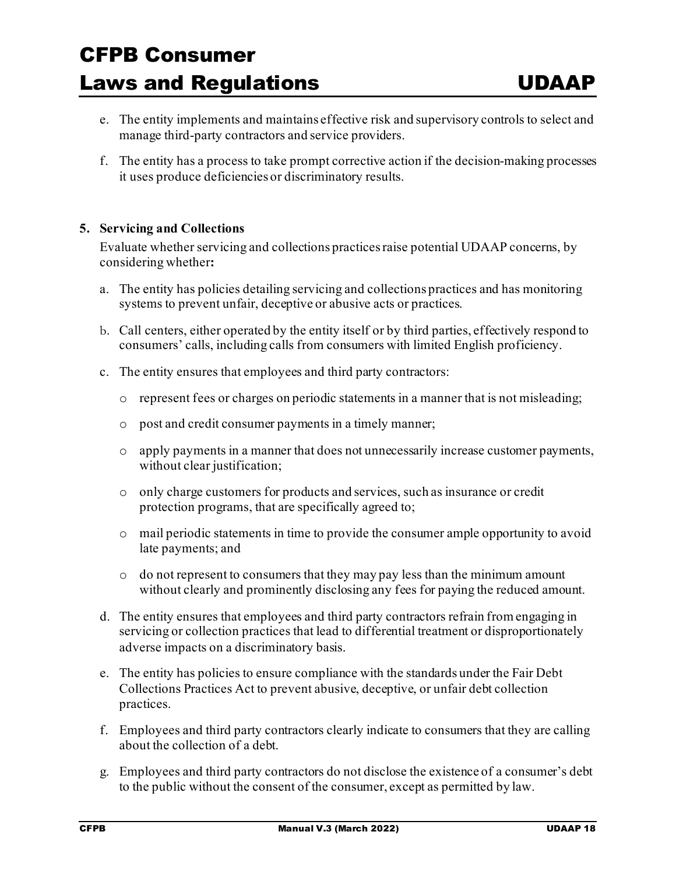- e. The entity implements and maintains effective risk and supervisory controls to select and manage third-party contractors and service providers.
- f. The entity has a process to take prompt corrective action if the decision-making processes it uses produce deficiencies or discriminatory results.

#### **5. Servicing and Collections**

Evaluate whether servicing and collections practices raise potential UDAAP concerns, by considering whether**:** 

- a. The entity has policies detailing servicing and collections practices and has monitoring systems to prevent unfair, deceptive or abusive acts or practices.
- b. Call centers, either operated by the entity itself or by third parties, effectively respond to consumers' calls, including calls from consumers with limited English proficiency.
- c. The entity ensures that employees and third party contractors:
	- o represent fees or charges on periodic statements in a manner that is not misleading;
	- o post and credit consumer payments in a timely manner;
	- o apply payments in a manner that does not unnecessarily increase customer payments, without clear justification;
	- o only charge customers for products and services, such as insurance or credit protection programs, that are specifically agreed to;
	- o mail periodic statements in time to provide the consumer ample opportunity to avoid late payments; and
	- o do not represent to consumers that they may pay less than the minimum amount without clearly and prominently disclosing any fees for paying the reduced amount.
- d. The entity ensures that employees and third party contractors refrain from engaging in servicing or collection practices that lead to differential treatment or disproportionately adverse impacts on a discriminatory basis.
- e. The entity has policies to ensure compliance with the standards under the Fair Debt Collections Practices Act to prevent abusive, deceptive, or unfair debt collection practices.
- f. Employees and third party contractors clearly indicate to consumers that they are calling about the collection of a debt.
- g. Employees and third party contractors do not disclose the existence of a consumer's debt to the public without the consent of the consumer, except as permitted by law.